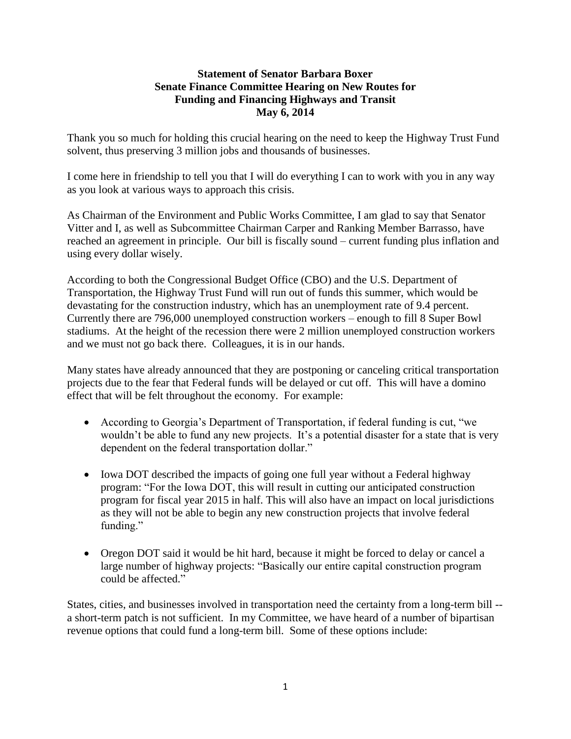## **Statement of Senator Barbara Boxer Senate Finance Committee Hearing on New Routes for Funding and Financing Highways and Transit May 6, 2014**

Thank you so much for holding this crucial hearing on the need to keep the Highway Trust Fund solvent, thus preserving 3 million jobs and thousands of businesses.

I come here in friendship to tell you that I will do everything I can to work with you in any way as you look at various ways to approach this crisis.

As Chairman of the Environment and Public Works Committee, I am glad to say that Senator Vitter and I, as well as Subcommittee Chairman Carper and Ranking Member Barrasso, have reached an agreement in principle. Our bill is fiscally sound – current funding plus inflation and using every dollar wisely.

According to both the Congressional Budget Office (CBO) and the U.S. Department of Transportation, the Highway Trust Fund will run out of funds this summer, which would be devastating for the construction industry, which has an unemployment rate of 9.4 percent. Currently there are 796,000 unemployed construction workers – enough to fill 8 Super Bowl stadiums. At the height of the recession there were 2 million unemployed construction workers and we must not go back there. Colleagues, it is in our hands.

Many states have already announced that they are postponing or canceling critical transportation projects due to the fear that Federal funds will be delayed or cut off. This will have a domino effect that will be felt throughout the economy. For example:

- According to Georgia's Department of Transportation, if federal funding is cut, "we wouldn't be able to fund any new projects. It's a potential disaster for a state that is very dependent on the federal transportation dollar."
- Iowa DOT described the impacts of going one full year without a Federal highway program: "For the Iowa DOT, this will result in cutting our anticipated construction program for fiscal year 2015 in half. This will also have an impact on local jurisdictions as they will not be able to begin any new construction projects that involve federal funding."
- Oregon DOT said it would be hit hard, because it might be forced to delay or cancel a large number of highway projects: "Basically our entire capital construction program could be affected."

States, cities, and businesses involved in transportation need the certainty from a long-term bill - a short-term patch is not sufficient. In my Committee, we have heard of a number of bipartisan revenue options that could fund a long-term bill. Some of these options include: